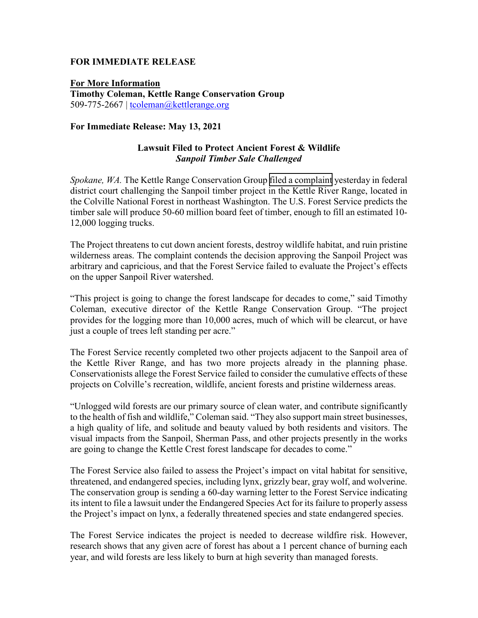## **FOR IMMEDIATE RELEASE**

**For More Information Timothy Coleman, Kettle Range Conservation Group** 509-775-2667 | [tcoleman@kettlerange.org](mailto:tcoleman@kettlerange.org)

## **For Immediate Release: May 13, 2021**

## **Lawsuit Filed to Protect Ancient Forest & Wildlife** *Sanpoil Timber Sale Challenged*

*Spokane, WA.* The Kettle Range Conservation Group filed a complaint yesterday in federal district court challenging the Sanpoil timber project in the Kettle River Range, located in the Colville National Forest in northeast Washington. The U.S. Forest Service predicts the timber sale will produce 50-60 million board feet of timber, enough to fill an estimated 10- 12,000 logging trucks.

The Project threatens to cut down ancient forests, destroy wildlife habitat, and ruin pristine wilderness areas. The complaint contends the decision approving the Sanpoil Project was arbitrary and capricious, and that the Forest Service failed to evaluate the Project's effects on the upper Sanpoil River watershed.

"This project is going to change the forest landscape for decades to come," said Timothy Coleman, executive director of the Kettle Range Conservation Group. "The project provides for the logging more than 10,000 acres, much of which will be clearcut, or have just a couple of trees left standing per acre."

The Forest Service recently completed two other projects adjacent to the Sanpoil area of the Kettle River Range, and has two more projects already in the planning phase. Conservationists allege the Forest Service failed to consider the cumulative effects of these projects on Colville's recreation, wildlife, ancient forests and pristine wilderness areas.

"Unlogged wild forests are our primary source of clean water, and contribute significantly to the health of fish and wildlife," Coleman said. "They also support main street businesses, a high quality of life, and solitude and beauty valued by both residents and visitors. The visual impacts from the Sanpoil, Sherman Pass, and other projects presently in the works are going to change the Kettle Crest forest landscape for decades to come."

The Forest Service also failed to assess the Project's impact on vital habitat for sensitive, threatened, and endangered species, including lynx, grizzly bear, gray wolf, and wolverine. The conservation group is sending a 60-day warning letter to the Forest Service indicating its intent to file a lawsuit under the Endangered Species Act for its failure to properly assess the Project's impact on lynx, a federally threatened species and state endangered species.

The Forest Service indicates the project is needed to decrease wildfire risk. However, research shows that any given acre of forest has about a 1 percent chance of burning each year, and wild forests are less likely to burn at high severity than managed forests.